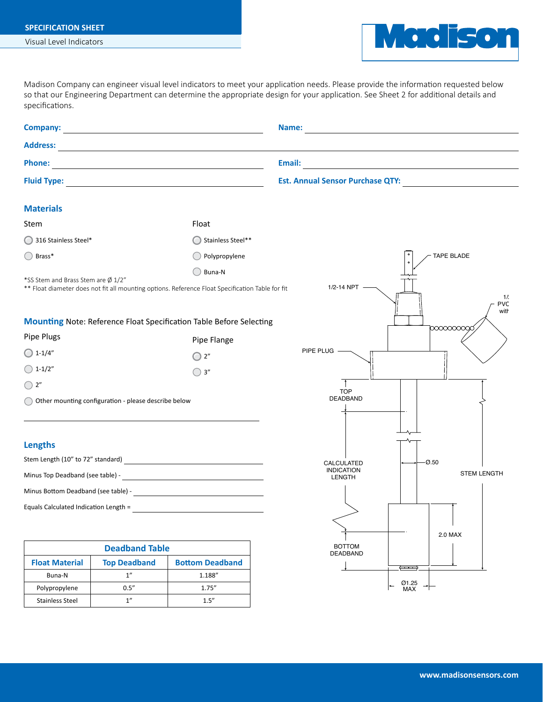## **SPECIFICATION SHEET**

Visual Level Indicators



Madison Company can engineer visual level indicators to meet your application needs. Please provide the information requested below specifications. so that our Engineering Department can determine the appropriate design for your application. See Sheet 2 for additional details and

**Tape Level Indicators**

*TL Series* **Specification Sheet**

| <b>Phone:</b>                         |                                                      |                                                                                                                                                                                                                                        |                                                          |  |  |  |
|---------------------------------------|------------------------------------------------------|----------------------------------------------------------------------------------------------------------------------------------------------------------------------------------------------------------------------------------------|----------------------------------------------------------|--|--|--|
|                                       |                                                      |                                                                                                                                                                                                                                        |                                                          |  |  |  |
|                                       |                                                      | <u> 1989 - Johann Barbara, martxa alemaniar amerikan basar da a</u>                                                                                                                                                                    |                                                          |  |  |  |
|                                       |                                                      |                                                                                                                                                                                                                                        |                                                          |  |  |  |
| <b>Materials</b>                      |                                                      |                                                                                                                                                                                                                                        |                                                          |  |  |  |
| Stem                                  |                                                      | Float                                                                                                                                                                                                                                  |                                                          |  |  |  |
| 316 Stainless Steel*                  |                                                      | Stainless Steel**                                                                                                                                                                                                                      |                                                          |  |  |  |
| Brass*                                |                                                      | Polypropylene                                                                                                                                                                                                                          | <b>TAPE BLADE</b>                                        |  |  |  |
|                                       |                                                      | Buna-N                                                                                                                                                                                                                                 |                                                          |  |  |  |
| *SS Stem and Brass Stem are Ø 1/2"    |                                                      | ** Float diameter does not fit all mounting options. Reference Float Specification Table for fit                                                                                                                                       | $1/2 - 14$ NPT $-$<br>1/2<br><b>PVC</b><br>with          |  |  |  |
|                                       |                                                      | <b>Mounting Note: Reference Float Specification Table Before Selecting</b>                                                                                                                                                             | 10000000000                                              |  |  |  |
| Pipe Plugs                            |                                                      | Pipe Flange                                                                                                                                                                                                                            |                                                          |  |  |  |
| $\bigcap$ 1-1/4"                      |                                                      | $\bigcirc$ 2"                                                                                                                                                                                                                          | PIPE PLUG -                                              |  |  |  |
| $\bigcirc$ 1-1/2"                     |                                                      | $\bigcirc$ 3"                                                                                                                                                                                                                          |                                                          |  |  |  |
| $\bigcirc$ 2"                         |                                                      |                                                                                                                                                                                                                                        | <b>TOP</b>                                               |  |  |  |
|                                       | Other mounting configuration - please describe below |                                                                                                                                                                                                                                        |                                                          |  |  |  |
|                                       |                                                      |                                                                                                                                                                                                                                        | DEADBAND                                                 |  |  |  |
| <b>Lengths</b>                        |                                                      |                                                                                                                                                                                                                                        |                                                          |  |  |  |
|                                       |                                                      | Stem Length (10" to 72" standard)<br><u> and a set of the set of the set of the set of the set of the set of the set of the set of the set of the set of the set of the set of the set of the set of the set of the set of the set</u> | $-0.50$<br>CALCULATED                                    |  |  |  |
|                                       |                                                      |                                                                                                                                                                                                                                        | <b>INDICATION</b><br><b>STEM LENGTH</b><br><b>LENGTH</b> |  |  |  |
|                                       |                                                      |                                                                                                                                                                                                                                        |                                                          |  |  |  |
| Equals Calculated Indication Length = |                                                      |                                                                                                                                                                                                                                        |                                                          |  |  |  |
|                                       |                                                      |                                                                                                                                                                                                                                        |                                                          |  |  |  |
|                                       |                                                      |                                                                                                                                                                                                                                        | 2.0 MAX                                                  |  |  |  |
|                                       | <b>Deadband Table</b>                                |                                                                                                                                                                                                                                        | <b>BOTTOM</b><br>DEADBAND                                |  |  |  |
| <b>Float Material</b>                 | <b>Top Deadband</b>                                  | <b>Bottom Deadband</b>                                                                                                                                                                                                                 | $\leftarrow$                                             |  |  |  |
| Buna-N<br>Polypropylene               | 1''<br>$0.5^{\prime\prime}$                          | 1.188"<br>1.75''                                                                                                                                                                                                                       | Ø1.25<br>MAX                                             |  |  |  |